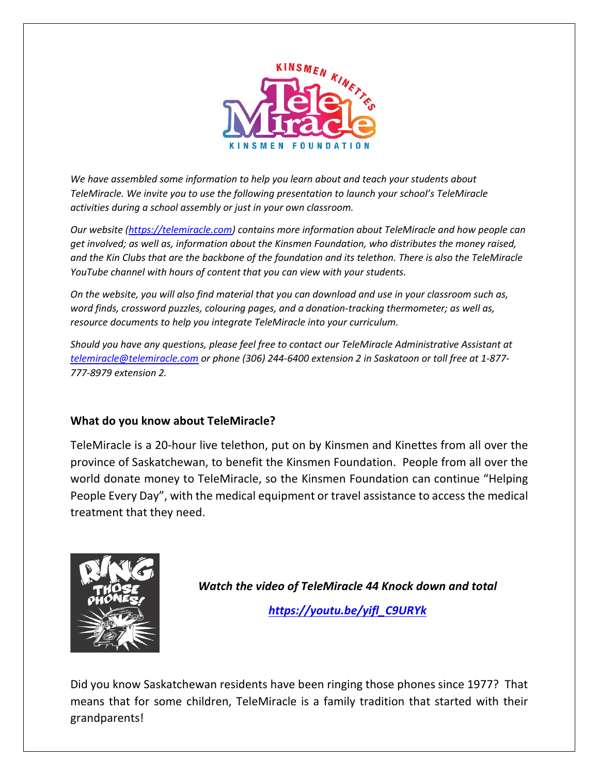

*We have assembled some information to help you learn about and teach your students about TeleMiracle. We invite you to use the following presentation to launch your school's TeleMiracle activities during a school assembly or just in your own classroom.* 

*Our website [\(https://telemiracle.com\)](https://telemiracle.com/) contains more information about TeleMiracle and how people can get involved; as well as, information about the Kinsmen Foundation, who distributes the money raised, and the Kin Clubs that are the backbone of the foundation and its telethon. There is also the TeleMiracle YouTube channel with hours of content that you can view with your students.*

*On the website, you will also find material that you can download and use in your classroom such as, word finds, crossword puzzles, colouring pages, and a donation-tracking thermometer; as well as, resource documents to help you integrate TeleMiracle into your curriculum.*

*Should you have any questions, please feel free to contact our TeleMiracle Administrative Assistant at [telemiracle@telemiracle.com](mailto:telemiracle@telemiracle.com) or phone (306) 244-6400 extension 2 in Saskatoon or toll free at 1-877- 777-8979 extension 2.*

## **What do you know about TeleMiracle?**

TeleMiracle is a 20-hour live telethon, put on by Kinsmen and Kinettes from all over the province of Saskatchewan, to benefit the Kinsmen Foundation. People from all over the world donate money to TeleMiracle, so the Kinsmen Foundation can continue "Helping People Every Day", with the medical equipment or travel assistance to access the medical treatment that they need.



*Watch the video of TeleMiracle 44 Knock down and total [https://youtu.be/yifl\\_C9URYk](https://youtu.be/yifl_C9URYk)*

Did you know Saskatchewan residents have been ringing those phones since 1977? That means that for some children, TeleMiracle is a family tradition that started with their grandparents!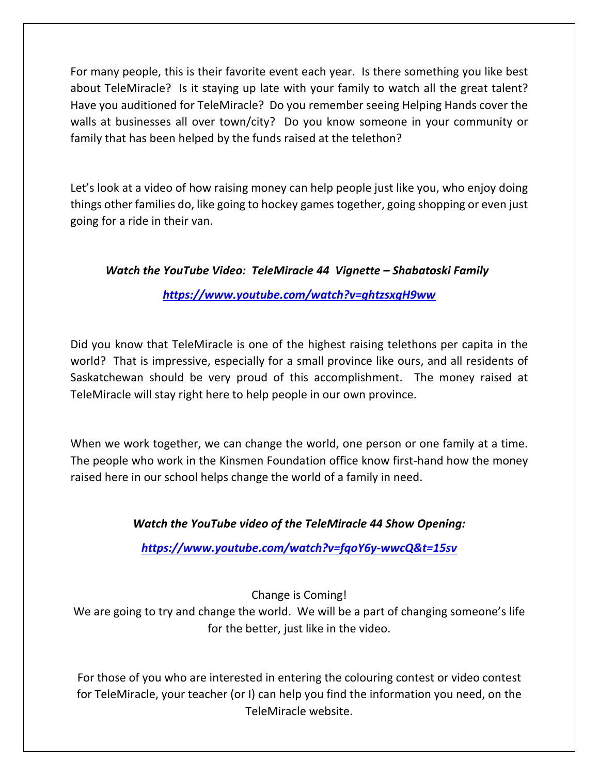For many people, this is their favorite event each year. Is there something you like best about TeleMiracle? Is it staying up late with your family to watch all the great talent? Have you auditioned for TeleMiracle? Do you remember seeing Helping Hands cover the walls at businesses all over town/city? Do you know someone in your community or family that has been helped by the funds raised at the telethon?

Let's look at a video of how raising money can help people just like you, who enjoy doing things other families do, like going to hockey games together, going shopping or even just going for a ride in their van.

*Watch the YouTube Video: TeleMiracle 44 Vignette – Shabatoski Family*

*<https://www.youtube.com/watch?v=ghtzsxgH9ww>*

Did you know that TeleMiracle is one of the highest raising telethons per capita in the world? That is impressive, especially for a small province like ours, and all residents of Saskatchewan should be very proud of this accomplishment. The money raised at TeleMiracle will stay right here to help people in our own province.

When we work together, we can change the world, one person or one family at a time. The people who work in the Kinsmen Foundation office know first-hand how the money raised here in our school helps change the world of a family in need.

## *Watch the YouTube video of the TeleMiracle 44 Show Opening:*

*<https://www.youtube.com/watch?v=fqoY6y-wwcQ&t=15sv>*

Change is Coming!

We are going to try and change the world. We will be a part of changing someone's life for the better, just like in the video.

For those of you who are interested in entering the colouring contest or video contest for TeleMiracle, your teacher (or I) can help you find the information you need, on the TeleMiracle website.